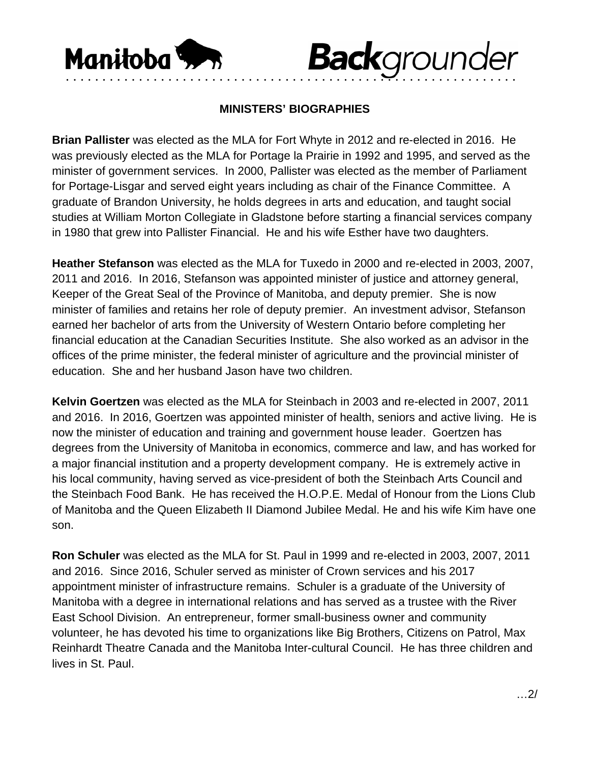

## **Back**grounder

## **MINISTERS' BIOGRAPHIES**

••••••••••••••••••••••••••••••••••••••••••••••••••••••••••••••

**Brian Pallister** was elected as the MLA for Fort Whyte in 2012 and re-elected in 2016. He was previously elected as the MLA for Portage la Prairie in 1992 and 1995, and served as the minister of government services. In 2000, Pallister was elected as the member of Parliament for Portage-Lisgar and served eight years including as chair of the Finance Committee. A graduate of Brandon University, he holds degrees in arts and education, and taught social studies at William Morton Collegiate in Gladstone before starting a financial services company in 1980 that grew into Pallister Financial. He and his wife Esther have two daughters.

**Heather Stefanson** was elected as the MLA for Tuxedo in 2000 and re-elected in 2003, 2007, 2011 and 2016. In 2016, Stefanson was appointed minister of justice and attorney general, Keeper of the Great Seal of the Province of Manitoba, and deputy premier. She is now minister of families and retains her role of deputy premier. An investment advisor, Stefanson earned her bachelor of arts from the University of Western Ontario before completing her financial education at the Canadian Securities Institute. She also worked as an advisor in the offices of the prime minister, the federal minister of agriculture and the provincial minister of education. She and her husband Jason have two children.

**Kelvin Goertzen** was elected as the MLA for Steinbach in 2003 and re-elected in 2007, 2011 and 2016. In 2016, Goertzen was appointed minister of health, seniors and active living. He is now the minister of education and training and government house leader. Goertzen has degrees from the University of Manitoba in economics, commerce and law, and has worked for a major financial institution and a property development company. He is extremely active in his local community, having served as vice-president of both the Steinbach Arts Council and the Steinbach Food Bank. He has received the H.O.P.E. Medal of Honour from the Lions Club of Manitoba and the Queen Elizabeth II Diamond Jubilee Medal. He and his wife Kim have one son.

**Ron Schuler** was elected as the MLA for St. Paul in 1999 and re-elected in 2003, 2007, 2011 and 2016. Since 2016, Schuler served as minister of Crown services and his 2017 appointment minister of infrastructure remains. Schuler is a graduate of the University of Manitoba with a degree in international relations and has served as a trustee with the River East School Division. An entrepreneur, former small-business owner and community volunteer, he has devoted his time to organizations like Big Brothers, Citizens on Patrol, Max Reinhardt Theatre Canada and the Manitoba Inter-cultural Council. He has three children and lives in St. Paul.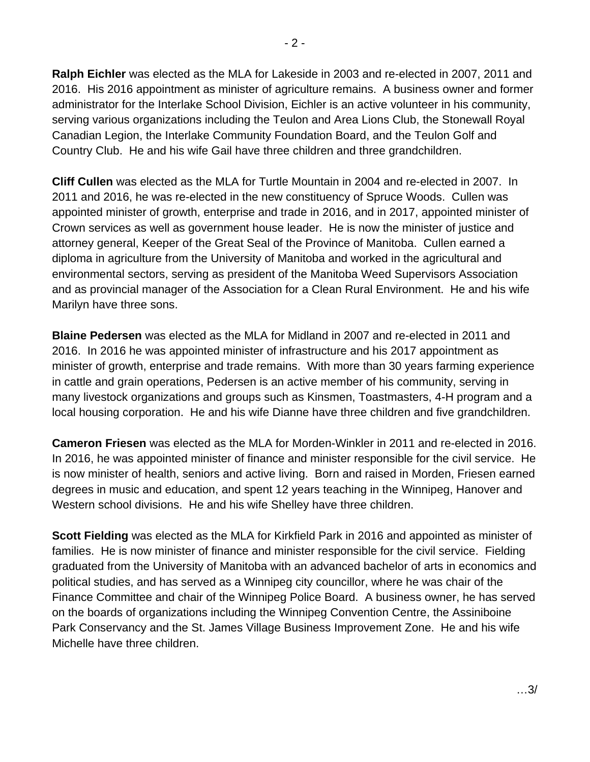**Ralph Eichler** was elected as the MLA for Lakeside in 2003 and re-elected in 2007, 2011 and 2016. His 2016 appointment as minister of agriculture remains. A business owner and former administrator for the Interlake School Division, Eichler is an active volunteer in his community, serving various organizations including the Teulon and Area Lions Club, the Stonewall Royal Canadian Legion, the Interlake Community Foundation Board, and the Teulon Golf and Country Club. He and his wife Gail have three children and three grandchildren.

**Cliff Cullen** was elected as the MLA for Turtle Mountain in 2004 and re-elected in 2007. In 2011 and 2016, he was re-elected in the new constituency of Spruce Woods. Cullen was appointed minister of growth, enterprise and trade in 2016, and in 2017, appointed minister of Crown services as well as government house leader. He is now the minister of justice and attorney general, Keeper of the Great Seal of the Province of Manitoba. Cullen earned a diploma in agriculture from the University of Manitoba and worked in the agricultural and environmental sectors, serving as president of the Manitoba Weed Supervisors Association and as provincial manager of the Association for a Clean Rural Environment. He and his wife Marilyn have three sons.

**Blaine Pedersen** was elected as the MLA for Midland in 2007 and re-elected in 2011 and 2016. In 2016 he was appointed minister of infrastructure and his 2017 appointment as minister of growth, enterprise and trade remains. With more than 30 years farming experience in cattle and grain operations, Pedersen is an active member of his community, serving in many livestock organizations and groups such as Kinsmen, Toastmasters, 4-H program and a local housing corporation. He and his wife Dianne have three children and five grandchildren.

**Cameron Friesen** was elected as the MLA for Morden-Winkler in 2011 and re-elected in 2016. In 2016, he was appointed minister of finance and minister responsible for the civil service. He is now minister of health, seniors and active living. Born and raised in Morden, Friesen earned degrees in music and education, and spent 12 years teaching in the Winnipeg, Hanover and Western school divisions. He and his wife Shelley have three children.

**Scott Fielding** was elected as the MLA for Kirkfield Park in 2016 and appointed as minister of families. He is now minister of finance and minister responsible for the civil service. Fielding graduated from the University of Manitoba with an advanced bachelor of arts in economics and political studies, and has served as a Winnipeg city councillor, where he was chair of the Finance Committee and chair of the Winnipeg Police Board. A business owner, he has served on the boards of organizations including the Winnipeg Convention Centre, the Assiniboine Park Conservancy and the St. James Village Business Improvement Zone. He and his wife Michelle have three children.